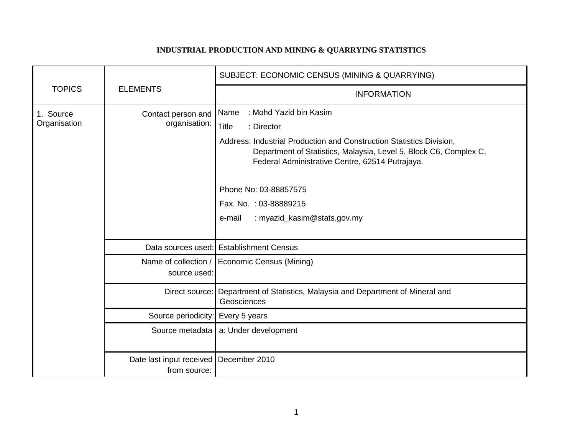## **INDUSTRIAL PRODUCTION AND MINING & QUARRYING STATISTICS**

|                           |                                                        | SUBJECT: ECONOMIC CENSUS (MINING & QUARRYING)                                                                                                                                                                                                                                                                                                           |
|---------------------------|--------------------------------------------------------|---------------------------------------------------------------------------------------------------------------------------------------------------------------------------------------------------------------------------------------------------------------------------------------------------------------------------------------------------------|
| <b>TOPICS</b>             | <b>ELEMENTS</b>                                        | <b>INFORMATION</b>                                                                                                                                                                                                                                                                                                                                      |
| 1. Source<br>Organisation | Contact person and<br>organisation:                    | : Mohd Yazid bin Kasim<br>Name<br><b>Title</b><br>: Director<br>Address: Industrial Production and Construction Statistics Division,<br>Department of Statistics, Malaysia, Level 5, Block C6, Complex C,<br>Federal Administrative Centre, 62514 Putrajaya.<br>Phone No: 03-88857575<br>Fax. No.: 03-88889215<br>: myazid_kasim@stats.gov.my<br>e-mail |
|                           |                                                        | Data sources used: Establishment Census                                                                                                                                                                                                                                                                                                                 |
|                           | Name of collection /<br>source used:                   | Economic Census (Mining)                                                                                                                                                                                                                                                                                                                                |
|                           |                                                        | Direct source: Department of Statistics, Malaysia and Department of Mineral and<br>Geosciences                                                                                                                                                                                                                                                          |
|                           | Source periodicity:                                    | Every 5 years                                                                                                                                                                                                                                                                                                                                           |
|                           |                                                        | Source metadata   a: Under development                                                                                                                                                                                                                                                                                                                  |
|                           | Date last input received December 2010<br>from source: |                                                                                                                                                                                                                                                                                                                                                         |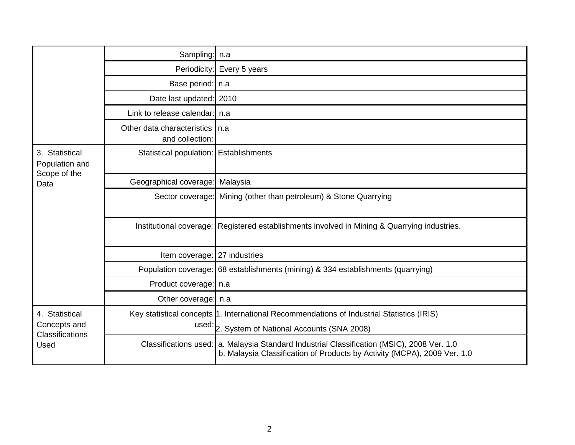|                                                           | Sampling:   n.a                               |                                                                                                                                                                          |
|-----------------------------------------------------------|-----------------------------------------------|--------------------------------------------------------------------------------------------------------------------------------------------------------------------------|
|                                                           |                                               | Periodicity: Every 5 years                                                                                                                                               |
|                                                           | Base period:   n.a                            |                                                                                                                                                                          |
|                                                           | Date last updated: 2010                       |                                                                                                                                                                          |
|                                                           | Link to release calendar: n.a                 |                                                                                                                                                                          |
|                                                           | Other data characteristics<br>and collection: | In.a                                                                                                                                                                     |
| 3. Statistical<br>Population and<br>Scope of the<br>Data  | Statistical population:   Establishments      |                                                                                                                                                                          |
|                                                           | Geographical coverage: Malaysia               |                                                                                                                                                                          |
|                                                           |                                               | Sector coverage: Mining (other than petroleum) & Stone Quarrying                                                                                                         |
|                                                           |                                               | Institutional coverage: Registered establishments involved in Mining & Quarrying industries.                                                                             |
|                                                           | Item coverage:   27 industries                |                                                                                                                                                                          |
|                                                           |                                               | Population coverage: 68 establishments (mining) & 334 establishments (quarrying)                                                                                         |
|                                                           | Product coverage:   n.a                       |                                                                                                                                                                          |
|                                                           | Other coverage:   n.a                         |                                                                                                                                                                          |
| 4. Statistical<br>Concepts and<br>Classifications<br>Used |                                               | Key statistical concepts 1. International Recommendations of Industrial Statistics (IRIS)                                                                                |
|                                                           | used:                                         | 2. System of National Accounts (SNA 2008)                                                                                                                                |
|                                                           |                                               | Classifications used:   a. Malaysia Standard Industrial Classification (MSIC), 2008 Ver. 1.0<br>b. Malaysia Classification of Products by Activity (MCPA), 2009 Ver. 1.0 |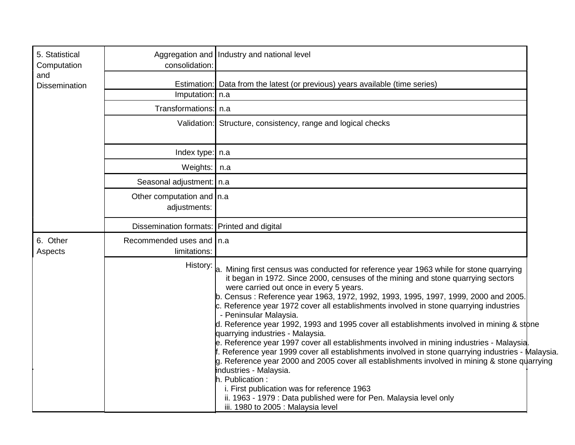| 5. Statistical<br>Computation | consolidation:                                                            | Aggregation and   Industry and national level                                                                                                                                                                                                                                                                                                                                                                                                                                                                                                                                                                                                                                                                                                                                                                                                                                                                                                                                                                                                                                         |  |
|-------------------------------|---------------------------------------------------------------------------|---------------------------------------------------------------------------------------------------------------------------------------------------------------------------------------------------------------------------------------------------------------------------------------------------------------------------------------------------------------------------------------------------------------------------------------------------------------------------------------------------------------------------------------------------------------------------------------------------------------------------------------------------------------------------------------------------------------------------------------------------------------------------------------------------------------------------------------------------------------------------------------------------------------------------------------------------------------------------------------------------------------------------------------------------------------------------------------|--|
| and<br><b>Dissemination</b>   | Imputation:   n.a<br>Transformations: n.a                                 | Estimation: Data from the latest (or previous) years available (time series)<br>Validation: Structure, consistency, range and logical checks                                                                                                                                                                                                                                                                                                                                                                                                                                                                                                                                                                                                                                                                                                                                                                                                                                                                                                                                          |  |
|                               | Index type: $n.a$<br>Weights:   n.a                                       |                                                                                                                                                                                                                                                                                                                                                                                                                                                                                                                                                                                                                                                                                                                                                                                                                                                                                                                                                                                                                                                                                       |  |
|                               | Seasonal adjustment:   n.a<br>Other computation and   n.a<br>adjustments: |                                                                                                                                                                                                                                                                                                                                                                                                                                                                                                                                                                                                                                                                                                                                                                                                                                                                                                                                                                                                                                                                                       |  |
|                               | Dissemination formats: Printed and digital                                |                                                                                                                                                                                                                                                                                                                                                                                                                                                                                                                                                                                                                                                                                                                                                                                                                                                                                                                                                                                                                                                                                       |  |
| 6. Other<br>Aspects           | Recommended uses and   n.a<br>limitations:                                |                                                                                                                                                                                                                                                                                                                                                                                                                                                                                                                                                                                                                                                                                                                                                                                                                                                                                                                                                                                                                                                                                       |  |
|                               |                                                                           | History: a. Mining first census was conducted for reference year 1963 while for stone quarrying<br>it began in 1972. Since 2000, censuses of the mining and stone quarrying sectors<br>were carried out once in every 5 years.<br>b. Census: Reference year 1963, 1972, 1992, 1993, 1995, 1997, 1999, 2000 and 2005.<br>c. Reference year 1972 cover all establishments involved in stone quarrying industries<br>- Peninsular Malaysia.<br>d. Reference year 1992, 1993 and 1995 cover all establishments involved in mining & stone<br>quarrying industries - Malaysia.<br>e. Reference year 1997 cover all establishments involved in mining industries - Malaysia.<br>f. Reference year 1999 cover all establishments involved in stone quarrying industries - Malaysia.<br>g. Reference year 2000 and 2005 cover all establishments involved in mining & stone quarrying<br>industries - Malaysia.<br>h. Publication:<br>i. First publication was for reference 1963<br>ii. 1963 - 1979 : Data published were for Pen. Malaysia level only<br>iii. 1980 to 2005 : Malaysia level |  |